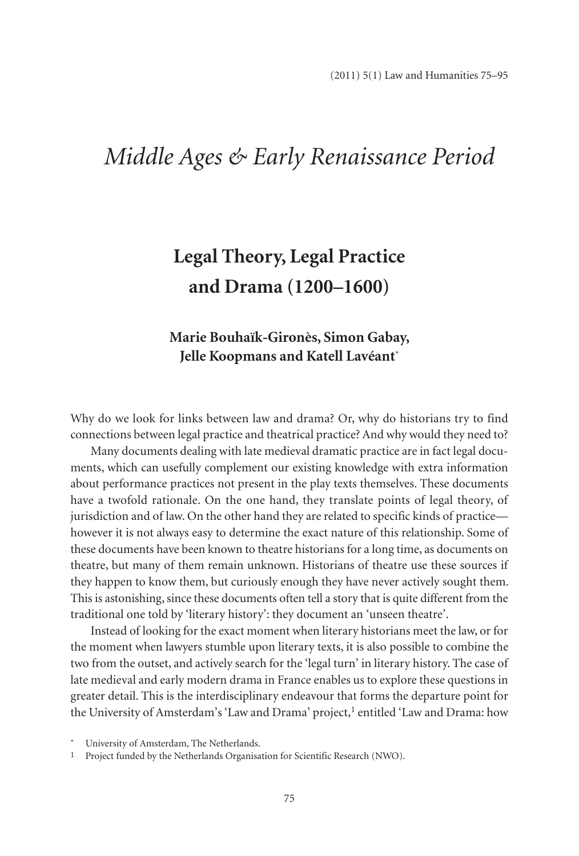## *Middle Ages & Early Renaissance Period*

# **Legal Theory, Legal Practice and Drama (1200–1600)**

### **Marie Bouhaïk-Gironès, Simon Gabay, Jelle Koopmans and Katell Lavéant**\*

Why do we look for links between law and drama? Or, why do historians try to find connections between legal practice and theatrical practice? And why would they need to?

Many documents dealing with late medieval dramatic practice are in fact legal documents, which can usefully complement our existing knowledge with extra information about performance practices not present in the play texts themselves. These documents have a twofold rationale. On the one hand, they translate points of legal theory, of jurisdiction and of law. On the other hand they are related to specific kinds of practice however it is not always easy to determine the exact nature of this relationship. Some of these documents have been known to theatre historians for a long time, as documents on theatre, but many of them remain unknown. Historians of theatre use these sources if they happen to know them, but curiously enough they have never actively sought them. This is astonishing, since these documents often tell a story that is quite different from the traditional one told by 'literary history': they document an 'unseen theatre'.

Instead of looking for the exact moment when literary historians meet the law, or for the moment when lawyers stumble upon literary texts, it is also possible to combine the two from the outset, and actively search for the 'legal turn' in literary history. The case of late medieval and early modern drama in France enables us to explore these questions in greater detail. This is the interdisciplinary endeavour that forms the departure point for the University of Amsterdam's 'Law and Drama' project,<sup>1</sup> entitled 'Law and Drama: how

University of Amsterdam, The Netherlands.

<sup>1</sup> Project funded by the Netherlands Organisation for Scientific Research (NWO).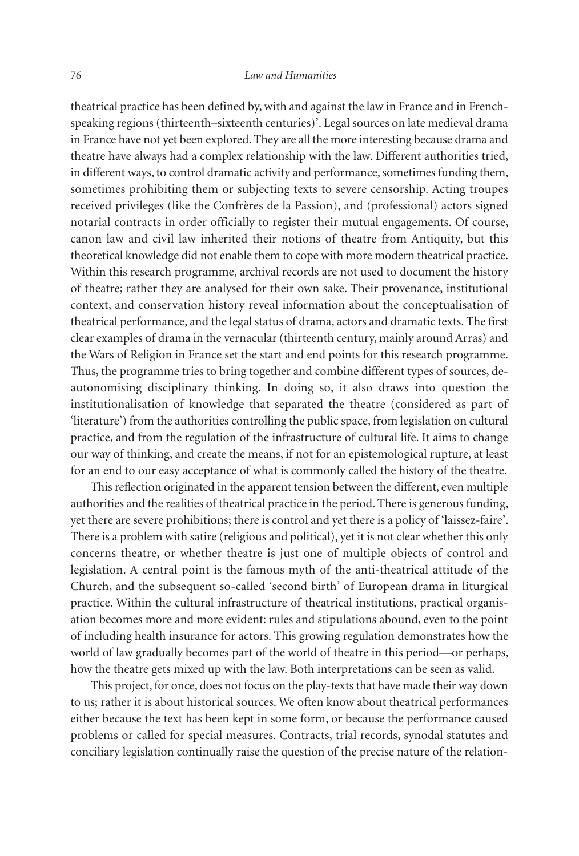theatrical practice has been defined by, with and against the law in France and in Frenchspeaking regions (thirteenth–sixteenth centuries)'. Legal sources on late medieval drama in France have not yet been explored. They are all the more interesting because drama and theatre have always had a complex relationship with the law. Different authorities tried, in different ways, to control dramatic activity and performance, sometimes funding them, sometimes prohibiting them or subjecting texts to severe censorship. Acting troupes received privileges (like the Confrères de la Passion), and (professional) actors signed notarial contracts in order officially to register their mutual engagements. Of course, canon law and civil law inherited their notions of theatre from Antiquity, but this theoretical knowledge did not enable them to cope with more modern theatrical practice. Within this research programme, archival records are not used to document the history of theatre; rather they are analysed for their own sake. Their provenance, institutional context, and conservation history reveal information about the conceptualisation of theatrical performance, and the legal status of drama, actors and dramatic texts. The first clear examples of drama in the vernacular (thirteenth century, mainly around Arras) and the Wars of Religion in France set the start and end points for this research programme. Thus, the programme tries to bring together and combine different types of sources, deautonomising disciplinary thinking. In doing so, it also draws into question the institutionalisation of knowledge that separated the theatre (considered as part of 'literature') from the authorities controlling the public space, from legislation on cultural practice, and from the regulation of the infrastructure of cultural life. It aims to change our way of thinking, and create the means, if not for an epistemological rupture, at least for an end to our easy acceptance of what is commonly called the history of the theatre.

This reflection originated in the apparent tension between the different, even multiple authorities and the realities of theatrical practice in the period. There is generous funding, yet there are severe prohibitions; there is control and yet there is a policy of 'laissez-faire'. There is a problem with satire (religious and political), yet it is not clear whether this only concerns theatre, or whether theatre is just one of multiple objects of control and legislation. A central point is the famous myth of the anti-theatrical attitude of the Church, and the subsequent so-called 'second birth' of European drama in liturgical practice. Within the cultural infrastructure of theatrical institutions, practical organisation becomes more and more evident: rules and stipulations abound, even to the point of including health insurance for actors. This growing regulation demonstrates how the world of law gradually becomes part of the world of theatre in this period—or perhaps, how the theatre gets mixed up with the law. Both interpretations can be seen as valid.

This project, for once, does not focus on the play-texts that have made their way down to us; rather it is about historical sources. We often know about theatrical performances either because the text has been kept in some form, or because the performance caused problems or called for special measures. Contracts, trial records, synodal statutes and conciliary legislation continually raise the question of the precise nature of the relation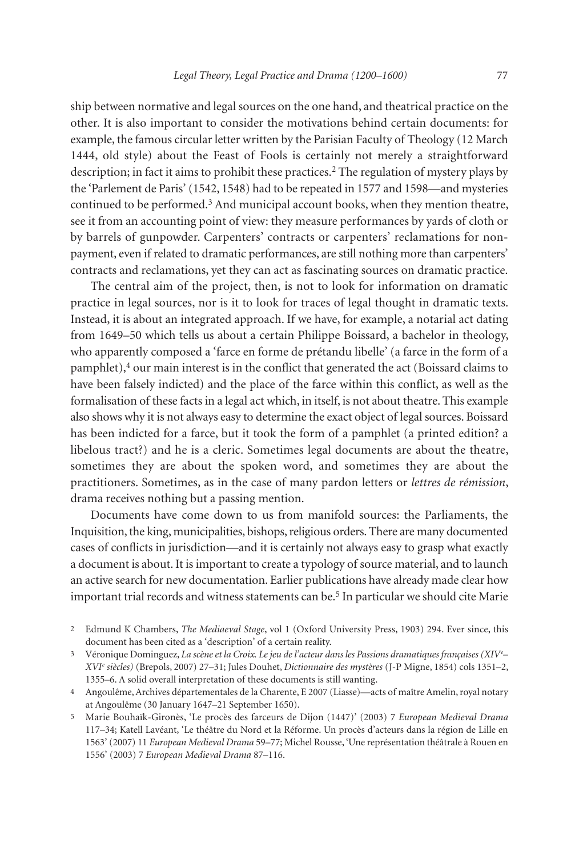ship between normative and legal sources on the one hand, and theatrical practice on the other. It is also important to consider the motivations behind certain documents: for example, the famous circular letter written by the Parisian Faculty of Theology (12 March 1444, old style) about the Feast of Fools is certainly not merely a straightforward description; in fact it aims to prohibit these practices.2 The regulation of mystery plays by the 'Parlement de Paris' (1542, 1548) had to be repeated in 1577 and 1598—and mysteries continued to be performed.3 And municipal account books, when they mention theatre, see it from an accounting point of view: they measure performances by yards of cloth or by barrels of gunpowder. Carpenters' contracts or carpenters' reclamations for nonpayment, even if related to dramatic performances, are still nothing more than carpenters' contracts and reclamations, yet they can act as fascinating sources on dramatic practice.

The central aim of the project, then, is not to look for information on dramatic practice in legal sources, nor is it to look for traces of legal thought in dramatic texts. Instead, it is about an integrated approach. If we have, for example, a notarial act dating from 1649–50 which tells us about a certain Philippe Boissard, a bachelor in theology, who apparently composed a 'farce en forme de prétandu libelle' (a farce in the form of a pamphlet),4 our main interest is in the conflict that generated the act (Boissard claims to have been falsely indicted) and the place of the farce within this conflict, as well as the formalisation of these facts in a legal act which, in itself, is not about theatre. This example also shows why it is not always easy to determine the exact object of legal sources. Boissard has been indicted for a farce, but it took the form of a pamphlet (a printed edition? a libelous tract?) and he is a cleric. Sometimes legal documents are about the theatre, sometimes they are about the spoken word, and sometimes they are about the practitioners. Sometimes, as in the case of many pardon letters or *lettres de rémission*, drama receives nothing but a passing mention.

Documents have come down to us from manifold sources: the Parliaments, the Inquisition, the king, municipalities, bishops, religious orders. There are many documented cases of conflicts in jurisdiction—and it is certainly not always easy to grasp what exactly a document is about. It is important to create a typology of source material, and to launch an active search for new documentation. Earlier publications have already made clear how important trial records and witness statements can be.<sup>5</sup> In particular we should cite Marie

<sup>2</sup> Edmund K Chambers, *The Mediaeval Stage*, vol 1 (Oxford University Press, 1903) 294. Ever since, this document has been cited as a 'description' of a certain reality.

<sup>3</sup> Véronique Dominguez, *La scène et la Croix. Le jeu de l'acteur dans les Passions dramatiques françaises (XIVe – XVIe siècles)* (Brepols, 2007) 27–31; Jules Douhet, *Dictionnaire des mystères* (J-P Migne, 1854) cols 1351–2, 1355–6. A solid overall interpretation of these documents is still wanting.

<sup>4</sup> Angoulême, Archives départementales de la Charente, E 2007 (Liasse)—acts of maître Amelin, royal notary at Angoulême (30 January 1647–21 September 1650).

<sup>5</sup> Marie Bouhaïk-Gironès, 'Le procès des farceurs de Dijon (1447)' (2003) 7 *European Medieval Drama* 117–34; Katell Lavéant, 'Le théâtre du Nord et la Réforme. Un procès d'acteurs dans la région de Lille en 1563' (2007) 11 *European Medieval Drama* 59–77; Michel Rousse, 'Une représentation théâtrale à Rouen en 1556' (2003) 7 *European Medieval Drama* 87–116.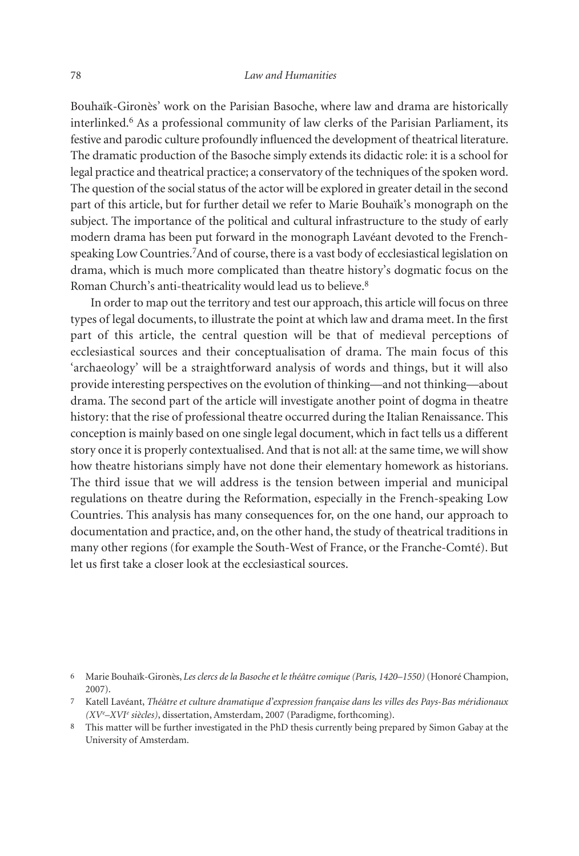#### 78 *Law and Humanities*

Bouhaïk-Gironès' work on the Parisian Basoche, where law and drama are historically interlinked.6 As a professional community of law clerks of the Parisian Parliament, its festive and parodic culture profoundly influenced the development of theatrical literature. The dramatic production of the Basoche simply extends its didactic role: it is a school for legal practice and theatrical practice; a conservatory of the techniques of the spoken word. The question of the social status of the actor will be explored in greater detail in the second part of this article, but for further detail we refer to Marie Bouhaïk's monograph on the subject. The importance of the political and cultural infrastructure to the study of early modern drama has been put forward in the monograph Lavéant devoted to the Frenchspeaking Low Countries.7And of course, there is a vast body of ecclesiastical legislation on drama, which is much more complicated than theatre history's dogmatic focus on the Roman Church's anti-theatricality would lead us to believe.8

In order to map out the territory and test our approach, this article will focus on three types of legal documents, to illustrate the point at which law and drama meet. In the first part of this article, the central question will be that of medieval perceptions of ecclesiastical sources and their conceptualisation of drama. The main focus of this 'archaeology' will be a straightforward analysis of words and things, but it will also provide interesting perspectives on the evolution of thinking—and not thinking—about drama. The second part of the article will investigate another point of dogma in theatre history: that the rise of professional theatre occurred during the Italian Renaissance. This conception is mainly based on one single legal document, which in fact tells us a different story once it is properly contextualised. And that is not all: at the same time, we will show how theatre historians simply have not done their elementary homework as historians. The third issue that we will address is the tension between imperial and municipal regulations on theatre during the Reformation, especially in the French-speaking Low Countries. This analysis has many consequences for, on the one hand, our approach to documentation and practice, and, on the other hand, the study of theatrical traditions in many other regions (for example the South-West of France, or the Franche-Comté). But let us first take a closer look at the ecclesiastical sources.

<sup>6</sup> Marie Bouhaïk-Gironès, *Les clercs de la Basoche et le théâtre comique (Paris, 1420–1550)* (Honoré Champion, 2007).

<sup>7</sup> Katell Lavéant, *Théâtre et culture dramatique d'expression française dans les villes des Pays-Bas méridionaux (XVe –XVIe siècles)*, dissertation, Amsterdam, 2007 (Paradigme, forthcoming).

<sup>8</sup> This matter will be further investigated in the PhD thesis currently being prepared by Simon Gabay at the University of Amsterdam.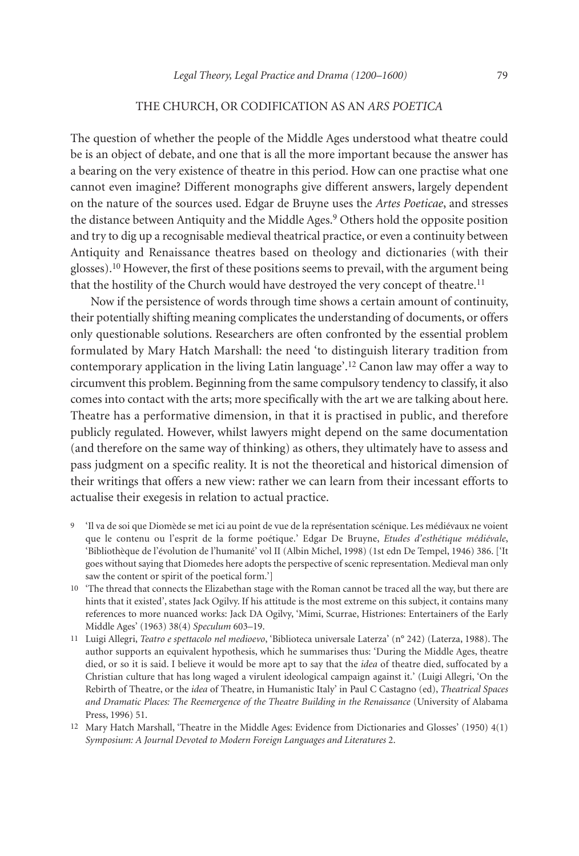#### THE CHURCH, OR CODIFICATION AS AN *ARS POETICA*

The question of whether the people of the Middle Ages understood what theatre could be is an object of debate, and one that is all the more important because the answer has a bearing on the very existence of theatre in this period. How can one practise what one cannot even imagine? Different monographs give different answers, largely dependent on the nature of the sources used. Edgar de Bruyne uses the *Artes Poeticae*, and stresses the distance between Antiquity and the Middle Ages.9 Others hold the opposite position and try to dig up a recognisable medieval theatrical practice, or even a continuity between Antiquity and Renaissance theatres based on theology and dictionaries (with their glosses).<sup>10</sup> However, the first of these positions seems to prevail, with the argument being that the hostility of the Church would have destroyed the very concept of theatre.<sup>11</sup>

Now if the persistence of words through time shows a certain amount of continuity, their potentially shifting meaning complicates the understanding of documents, or offers only questionable solutions. Researchers are often confronted by the essential problem formulated by Mary Hatch Marshall: the need 'to distinguish literary tradition from contemporary application in the living Latin language'.12 Canon law may offer a way to circumvent this problem. Beginning from the same compulsory tendency to classify, it also comes into contact with the arts; more specifically with the art we are talking about here. Theatre has a performative dimension, in that it is practised in public, and therefore publicly regulated. However, whilst lawyers might depend on the same documentation (and therefore on the same way of thinking) as others, they ultimately have to assess and pass judgment on a specific reality. It is not the theoretical and historical dimension of their writings that offers a new view: rather we can learn from their incessant efforts to actualise their exegesis in relation to actual practice.

- 9 'Il va de soi que Diomède se met ici au point de vue de la représentation scénique. Les médiévaux ne voient que le contenu ou l'esprit de la forme poétique.' Edgar De Bruyne, *Etudes d'esthétique médiévale*, 'Bibliothèque de l'évolution de l'humanité' vol II (Albin Michel, 1998) (1st edn De Tempel, 1946) 386. ['It goes without saying that Diomedes here adopts the perspective of scenic representation. Medieval man only saw the content or spirit of the poetical form.']
- 10 'The thread that connects the Elizabethan stage with the Roman cannot be traced all the way, but there are hints that it existed', states Jack Ogilvy. If his attitude is the most extreme on this subject, it contains many references to more nuanced works: Jack DA Ogilvy, 'Mimi, Scurrae, Histriones: Entertainers of the Early Middle Ages' (1963) 38(4) *Speculum* 603–19.
- 11 Luigi Allegri, *Teatro e spettacolo nel medioevo*, 'Biblioteca universale Laterza' (n° 242) (Laterza, 1988). The author supports an equivalent hypothesis, which he summarises thus: 'During the Middle Ages, theatre died, or so it is said. I believe it would be more apt to say that the *idea* of theatre died, suffocated by a Christian culture that has long waged a virulent ideological campaign against it.' (Luigi Allegri, 'On the Rebirth of Theatre, or the *idea* of Theatre, in Humanistic Italy' in Paul C Castagno (ed), *Theatrical Spaces and Dramatic Places: The Reemergence of the Theatre Building in the Renaissance* (University of Alabama Press, 1996) 51.
- 12 Mary Hatch Marshall, 'Theatre in the Middle Ages: Evidence from Dictionaries and Glosses' (1950) 4(1) *Symposium: A Journal Devoted to Modern Foreign Languages and Literatures* 2.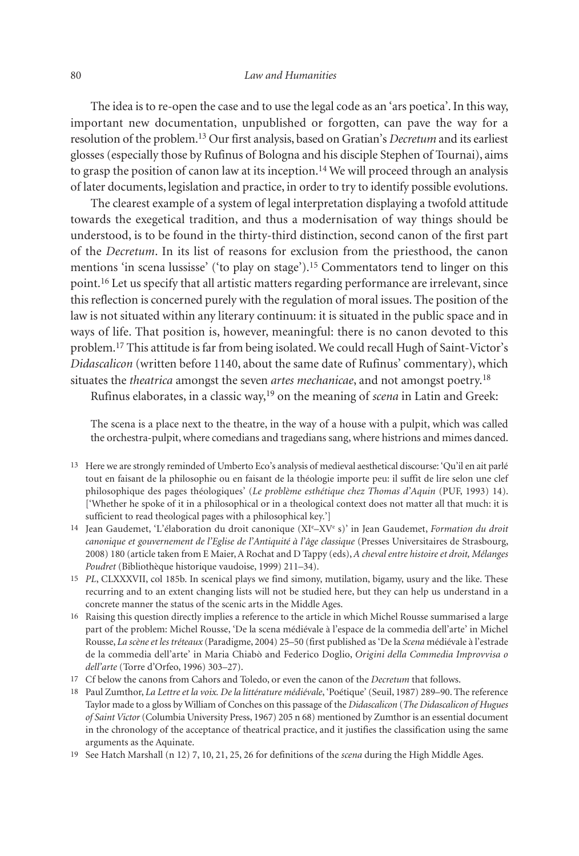#### 80 *Law and Humanities*

The idea is to re-open the case and to use the legal code as an 'ars poetica'. In this way, important new documentation, unpublished or forgotten, can pave the way for a resolution of the problem.13 Our first analysis, based on Gratian's *Decretum* and its earliest glosses (especially those by Rufinus of Bologna and his disciple Stephen of Tournai), aims to grasp the position of canon law at its inception.<sup>14</sup> We will proceed through an analysis of later documents, legislation and practice, in order to try to identify possible evolutions.

The clearest example of a system of legal interpretation displaying a twofold attitude towards the exegetical tradition, and thus a modernisation of way things should be understood, is to be found in the thirty-third distinction, second canon of the first part of the *Decretum*. In its list of reasons for exclusion from the priesthood, the canon mentions 'in scena lussisse' ('to play on stage').15 Commentators tend to linger on this point.16 Let us specify that all artistic matters regarding performance are irrelevant, since this reflection is concerned purely with the regulation of moral issues. The position of the law is not situated within any literary continuum: it is situated in the public space and in ways of life. That position is, however, meaningful: there is no canon devoted to this problem.17 This attitude is far from being isolated. We could recall Hugh of Saint-Victor's *Didascalicon* (written before 1140, about the same date of Rufinus' commentary), which situates the *theatrica* amongst the seven *artes mechanicae*, and not amongst poetry.18

Rufinus elaborates, in a classic way,19 on the meaning of *scena* in Latin and Greek:

The scena is a place next to the theatre, in the way of a house with a pulpit, which was called the orchestra-pulpit, where comedians and tragedians sang, where histrions and mimes danced.

- 13 Here we are strongly reminded of Umberto Eco's analysis of medieval aesthetical discourse: 'Qu'il en ait parlé tout en faisant de la philosophie ou en faisant de la théologie importe peu: il suffit de lire selon une clef philosophique des pages théologiques' (*Le problème esthétique chez Thomas d'Aquin* (PUF, 1993) 14). ['Whether he spoke of it in a philosophical or in a theological context does not matter all that much: it is sufficient to read theological pages with a philosophical key.']
- 14 Jean Gaudemet, 'L'élaboration du droit canonique (XIe –XVe s)' in Jean Gaudemet, *Formation du droit canonique et gouvernement de l'Eglise de l'Antiquité à l'âge classique* (Presses Universitaires de Strasbourg, 2008) 180 (article taken from E Maier, A Rochat and D Tappy (eds), *A cheval entre histoire et droit, Mélanges Poudret* (Bibliothèque historique vaudoise, 1999) 211–34).
- 15 *PL*, CLXXXVII, col 185b. In scenical plays we find simony, mutilation, bigamy, usury and the like. These recurring and to an extent changing lists will not be studied here, but they can help us understand in a concrete manner the status of the scenic arts in the Middle Ages.
- 16 Raising this question directly implies a reference to the article in which Michel Rousse summarised a large part of the problem: Michel Rousse, 'De la scena médiévale à l'espace de la commedia dell'arte' in Michel Rousse, *La scène et les tréteaux* (Paradigme, 2004) 25–50 (first published as 'De la *Scena* médiévale à l'estrade de la commedia dell'arte' in Maria Chiabò and Federico Doglio, *Origini della Commedia Improvvisa o dell'arte* (Torre d'Orfeo, 1996) 303–27).
- 17 Cf below the canons from Cahors and Toledo, or even the canon of the *Decretum* that follows.
- 18 Paul Zumthor, *La Lettre et la voix. De la littérature médiévale*, 'Poétique' (Seuil, 1987) 289–90. The reference Taylor made to a gloss by William of Conches on this passage of the *Didascalicon* (*The Didascalicon of Hugues of Saint Victor* (Columbia University Press, 1967) 205 n 68) mentioned by Zumthor is an essential document in the chronology of the acceptance of theatrical practice, and it justifies the classification using the same arguments as the Aquinate.
- 19 See Hatch Marshall (n 12) 7, 10, 21, 25, 26 for definitions of the *scena* during the High Middle Ages.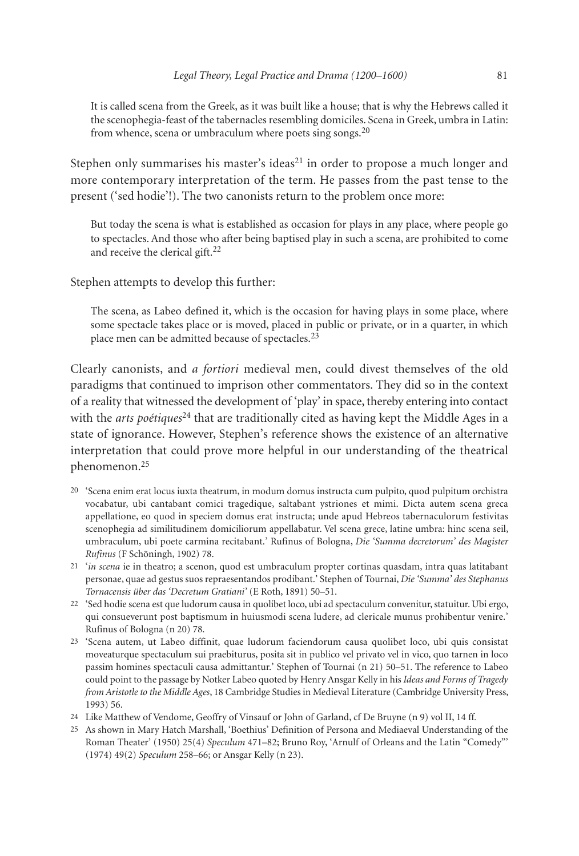It is called scena from the Greek, as it was built like a house; that is why the Hebrews called it the scenophegia-feast of the tabernacles resembling domiciles. Scena in Greek, umbra in Latin: from whence, scena or umbraculum where poets sing songs.  $20$ 

Stephen only summarises his master's ideas<sup>21</sup> in order to propose a much longer and more contemporary interpretation of the term. He passes from the past tense to the present ('sed hodie'!). The two canonists return to the problem once more:

But today the scena is what is established as occasion for plays in any place, where people go to spectacles. And those who after being baptised play in such a scena, are prohibited to come and receive the clerical gift.<sup>22</sup>

Stephen attempts to develop this further:

The scena, as Labeo defined it, which is the occasion for having plays in some place, where some spectacle takes place or is moved, placed in public or private, or in a quarter, in which place men can be admitted because of spectacles.<sup>23</sup>

Clearly canonists, and *a fortiori* medieval men, could divest themselves of the old paradigms that continued to imprison other commentators. They did so in the context of a reality that witnessed the development of 'play' in space, thereby entering into contact with the *arts poétiques*<sup>24</sup> that are traditionally cited as having kept the Middle Ages in a state of ignorance. However, Stephen's reference shows the existence of an alternative interpretation that could prove more helpful in our understanding of the theatrical phenomenon.25

- 20 'Scena enim erat locus iuxta theatrum, in modum domus instructa cum pulpito, quod pulpitum orchistra vocabatur, ubi cantabant comici tragedique, saltabant ystriones et mimi. Dicta autem scena greca appellatione, eo quod in speciem domus erat instructa; unde apud Hebreos tabernaculorum festivitas scenophegia ad similitudinem domiciliorum appellabatur. Vel scena grece, latine umbra: hinc scena seil, umbraculum, ubi poete carmina recitabant.' Rufinus of Bologna, *Die 'Summa decretorum' des Magister Rufinus* (F Schöningh, 1902) 78.
- 21 '*in scena* ie in theatro; a scenon, quod est umbraculum propter cortinas quasdam, intra quas latitabant personae, quae ad gestus suos repraesentandos prodibant.' Stephen of Tournai, *Die 'Summa' des Stephanus Tornacensis über das 'Decretum Gratiani'* (E Roth, 1891) 50–51.
- 22 'Sed hodie scena est que ludorum causa in quolibet loco, ubi ad spectaculum convenitur, statuitur. Ubi ergo, qui consueverunt post baptismum in huiusmodi scena ludere, ad clericale munus prohibentur venire.' Rufinus of Bologna (n 20) 78.
- 23 'Scena autem, ut Labeo diffinit, quae ludorum faciendorum causa quolibet loco, ubi quis consistat moveaturque spectaculum sui praebiturus, posita sit in publico vel privato vel in vico, quo tarnen in loco passim homines spectaculi causa admittantur.' Stephen of Tournai (n 21) 50–51. The reference to Labeo could point to the passage by Notker Labeo quoted by Henry Ansgar Kelly in his *Ideas and Forms of Tragedy from Aristotle to the Middle Ages*, 18 Cambridge Studies in Medieval Literature (Cambridge University Press, 1993) 56.
- 24 Like Matthew of Vendome, Geoffry of Vinsauf or John of Garland, cf De Bruyne (n 9) vol II, 14 ff*.*
- 25 As shown in Mary Hatch Marshall, 'Boethius' Definition of Persona and Mediaeval Understanding of the Roman Theater' (1950) 25(4) *Speculum* 471–82; Bruno Roy, 'Arnulf of Orleans and the Latin "Comedy"' (1974) 49(2) *Speculum* 258–66; or Ansgar Kelly (n 23).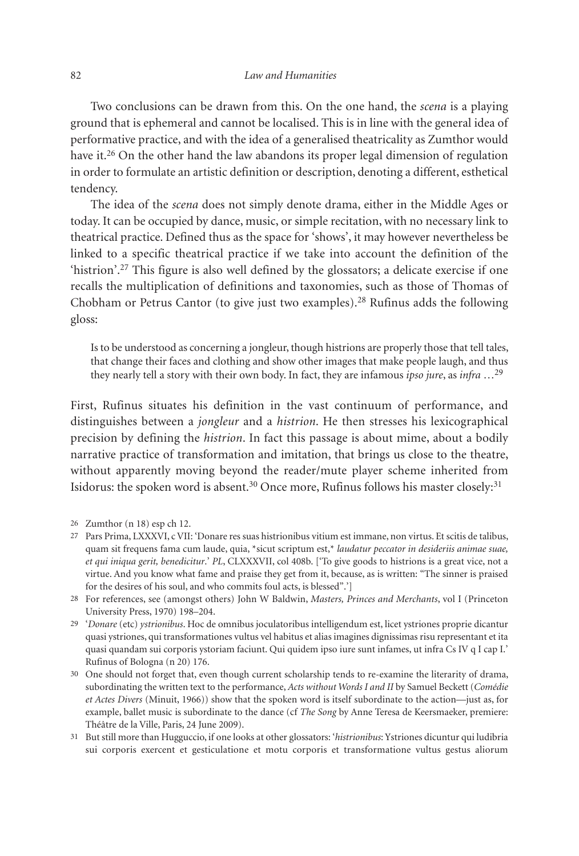Two conclusions can be drawn from this. On the one hand, the *scena* is a playing ground that is ephemeral and cannot be localised. This is in line with the general idea of performative practice, and with the idea of a generalised theatricality as Zumthor would have it.26 On the other hand the law abandons its proper legal dimension of regulation in order to formulate an artistic definition or description, denoting a different, esthetical tendency.

The idea of the *scena* does not simply denote drama, either in the Middle Ages or today. It can be occupied by dance, music, or simple recitation, with no necessary link to theatrical practice. Defined thus as the space for 'shows', it may however nevertheless be linked to a specific theatrical practice if we take into account the definition of the 'histrion'.27 This figure is also well defined by the glossators; a delicate exercise if one recalls the multiplication of definitions and taxonomies, such as those of Thomas of Chobham or Petrus Cantor (to give just two examples).28 Rufinus adds the following gloss:

Is to be understood as concerning a jongleur, though histrions are properly those that tell tales, that change their faces and clothing and show other images that make people laugh, and thus they nearly tell a story with their own body. In fact, they are infamous *ipso jure*, as *infra* …29

First, Rufinus situates his definition in the vast continuum of performance, and distinguishes between a *jongleur* and a *histrion*. He then stresses his lexicographical precision by defining the *histrion*. In fact this passage is about mime, about a bodily narrative practice of transformation and imitation, that brings us close to the theatre, without apparently moving beyond the reader/mute player scheme inherited from Isidorus: the spoken word is absent.<sup>30</sup> Once more, Rufinus follows his master closely:<sup>31</sup>

- 26 Zumthor (n 18) esp ch 12.
- 27 Pars Prima, LXXXVI, c VII: 'Donare res suas histrionibus vitium est immane, non virtus. Et scitis de talibus, quam sit frequens fama cum laude, quia, \*sicut scriptum est,\* *laudatur peccator in desideriis animae suae, et qui iniqua gerit, benedicitur*.' *PL*, CLXXXVII, col 408b. ['To give goods to histrions is a great vice, not a virtue. And you know what fame and praise they get from it, because, as is written: "The sinner is praised for the desires of his soul, and who commits foul acts, is blessed".']
- 28 For references, see (amongst others) John W Baldwin, *Masters, Princes and Merchants*, vol I (Princeton University Press, 1970) 198–204.
- 29 '*Donare* (etc) *ystrionibus*. Hoc de omnibus joculatoribus intelligendum est, licet ystriones proprie dicantur quasi ystriones, qui transformationes vultus vel habitus et alias imagines dignissimas risu representant et ita quasi quandam sui corporis ystoriam faciunt. Qui quidem ipso iure sunt infames, ut infra Cs IV q I cap I.' Rufinus of Bologna (n 20) 176.
- 30 One should not forget that, even though current scholarship tends to re-examine the literarity of drama, subordinating the written text to the performance, *Acts without Words I and II* by Samuel Beckett (*Comédie et Actes Divers* (Minuit, 1966)) show that the spoken word is itself subordinate to the action—just as, for example, ballet music is subordinate to the dance (cf *The Song* by Anne Teresa de Keersmaeker, premiere: Théâtre de la Ville, Paris, 24 June 2009).
- 31 But still more than Hugguccio, if one looks at other glossators: '*histrionibus*: Ystriones dicuntur qui ludibria sui corporis exercent et gesticulatione et motu corporis et transformatione vultus gestus aliorum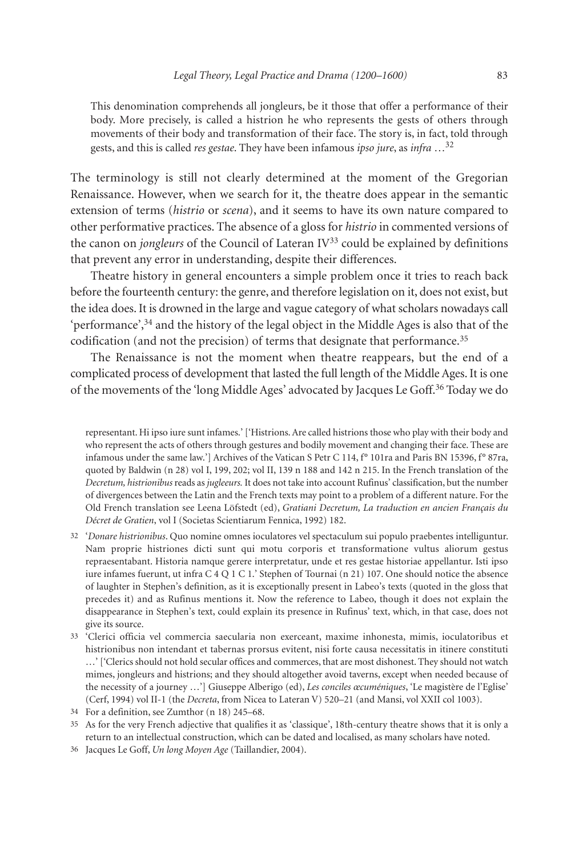This denomination comprehends all jongleurs, be it those that offer a performance of their body. More precisely, is called a histrion he who represents the gests of others through movements of their body and transformation of their face. The story is, in fact, told through gests, and this is called *res gestae*. They have been infamous *ipso jure*, as *infra* …<sup>32</sup>

The terminology is still not clearly determined at the moment of the Gregorian Renaissance. However, when we search for it, the theatre does appear in the semantic extension of terms (*histrio* or *scena*), and it seems to have its own nature compared to other performative practices. The absence of a gloss for *histrio* in commented versions of the canon on *jongleurs* of the Council of Lateran IV<sup>33</sup> could be explained by definitions that prevent any error in understanding, despite their differences.

Theatre history in general encounters a simple problem once it tries to reach back before the fourteenth century: the genre, and therefore legislation on it, does not exist, but the idea does. It is drowned in the large and vague category of what scholars nowadays call 'performance',34 and the history of the legal object in the Middle Ages is also that of the codification (and not the precision) of terms that designate that performance.<sup>35</sup>

The Renaissance is not the moment when theatre reappears, but the end of a complicated process of development that lasted the full length of the Middle Ages. It is one of the movements of the 'long Middle Ages' advocated by Jacques Le Goff.36 Today we do

representant. Hi ipso iure sunt infames.' ['Histrions. Are called histrions those who play with their body and who represent the acts of others through gestures and bodily movement and changing their face. These are infamous under the same law.'] Archives of the Vatican S Petr C 114, f° 101ra and Paris BN 15396, f° 87ra, quoted by Baldwin (n 28) vol I, 199, 202; vol II, 139 n 188 and 142 n 215. In the French translation of the *Decretum, histrionibus* reads as *jugleeurs.* It does not take into account Rufinus' classification, but the number of divergences between the Latin and the French texts may point to a problem of a different nature. For the Old French translation see Leena Löfstedt (ed), *Gratiani Decretum, La traduction en ancien Français du Décret de Gratien*, vol I (Societas Scientiarum Fennica, 1992) 182.

- 32 '*Donare histrionibus*. Quo nomine omnes ioculatores vel spectaculum sui populo praebentes intelliguntur. Nam proprie histriones dicti sunt qui motu corporis et transformatione vultus aliorum gestus repraesentabant. Historia namque gerere interpretatur, unde et res gestae historiae appellantur. Isti ipso iure infames fuerunt, ut infra C 4 Q 1 C 1.' Stephen of Tournai (n 21) 107. One should notice the absence of laughter in Stephen's definition, as it is exceptionally present in Labeo's texts (quoted in the gloss that precedes it) and as Rufinus mentions it. Now the reference to Labeo, though it does not explain the disappearance in Stephen's text, could explain its presence in Rufinus' text, which, in that case, does not give its source.
- 33 'Clerici officia vel commercia saecularia non exerceant, maxime inhonesta, mimis, ioculatoribus et histrionibus non intendant et tabernas prorsus evitent, nisi forte causa necessitatis in itinere constituti …' ['Clerics should not hold secular offices and commerces, that are most dishonest. They should not watch mimes, jongleurs and histrions; and they should altogether avoid taverns, except when needed because of the necessity of a journey …'] Giuseppe Alberigo (ed), *Les conciles œcuméniques*, 'Le magistère de l'Eglise' (Cerf, 1994) vol II-1 (the *Decreta*, from Nicea to Lateran V) 520–21 (and Mansi, vol XXII col 1003).
- 34 For a definition, see Zumthor (n 18) 245–68.
- 35 As for the very French adjective that qualifies it as 'classique', 18th-century theatre shows that it is only a return to an intellectual construction, which can be dated and localised, as many scholars have noted.
- 36 Jacques Le Goff, *Un long Moyen Age* (Taillandier, 2004).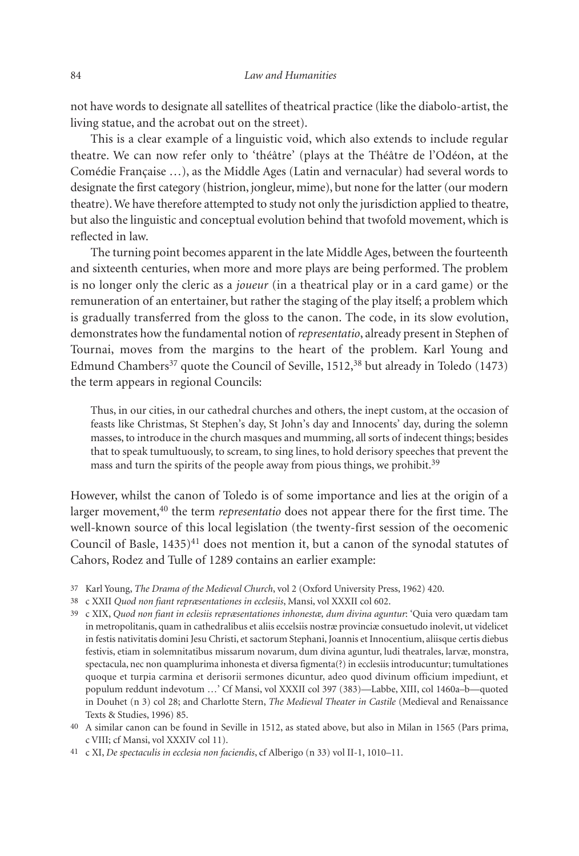not have words to designate all satellites of theatrical practice (like the diabolo-artist, the living statue, and the acrobat out on the street).

This is a clear example of a linguistic void, which also extends to include regular theatre. We can now refer only to 'théâtre' (plays at the Théâtre de l'Odéon, at the Comédie Française …), as the Middle Ages (Latin and vernacular) had several words to designate the first category (histrion, jongleur, mime), but none for the latter (our modern theatre). We have therefore attempted to study not only the jurisdiction applied to theatre, but also the linguistic and conceptual evolution behind that twofold movement, which is reflected in law.

The turning point becomes apparent in the late Middle Ages, between the fourteenth and sixteenth centuries, when more and more plays are being performed. The problem is no longer only the cleric as a *joueur* (in a theatrical play or in a card game) or the remuneration of an entertainer, but rather the staging of the play itself; a problem which is gradually transferred from the gloss to the canon. The code, in its slow evolution, demonstrates how the fundamental notion of *representatio*, already present in Stephen of Tournai, moves from the margins to the heart of the problem. Karl Young and Edmund Chambers<sup>37</sup> quote the Council of Seville,  $1512$ <sup>38</sup> but already in Toledo (1473) the term appears in regional Councils:

Thus, in our cities, in our cathedral churches and others, the inept custom, at the occasion of feasts like Christmas, St Stephen's day, St John's day and Innocents' day, during the solemn masses, to introduce in the church masques and mumming, all sorts of indecent things; besides that to speak tumultuously, to scream, to sing lines, to hold derisory speeches that prevent the mass and turn the spirits of the people away from pious things, we prohibit.<sup>39</sup>

However, whilst the canon of Toledo is of some importance and lies at the origin of a larger movement,40 the term *representatio* does not appear there for the first time. The well-known source of this local legislation (the twenty-first session of the oecomenic Council of Basle, 1435)<sup>41</sup> does not mention it, but a canon of the synodal statutes of Cahors, Rodez and Tulle of 1289 contains an earlier example:

- 37 Karl Young, *The Drama of the Medieval Church*, vol 2 (Oxford University Press, 1962) 420.
- 38 c XXII *Quod non fiant repræsentationes in ecclesiis*, Mansi, vol XXXII col 602.
- 39 c XIX, *Quod non fiant in eclesiis repræsentationes inhonestæ, dum divina aguntur*: 'Quia vero quædam tam in metropolitanis, quam in cathedralibus et aliis eccelsiis nostræ provinciæ consuetudo inolevit, ut videlicet in festis nativitatis domini Jesu Christi, et sactorum Stephani, Joannis et Innocentium, aliisque certis diebus festivis, etiam in solemnitatibus missarum novarum, dum divina aguntur, ludi theatrales, larvæ, monstra, spectacula, nec non quamplurima inhonesta et diversa figmenta(?) in ecclesiis introducuntur; tumultationes quoque et turpia carmina et derisorii sermones dicuntur, adeo quod divinum officium impediunt, et populum reddunt indevotum …' Cf Mansi, vol XXXII col 397 (383)—Labbe, XIII, col 1460a–b—quoted in Douhet (n 3) col 28; and Charlotte Stern, *The Medieval Theater in Castile* (Medieval and Renaissance Texts & Studies, 1996) 85.
- 40 A similar canon can be found in Seville in 1512, as stated above, but also in Milan in 1565 (Pars prima, c VIII; cf Mansi, vol XXXIV col 11).
- 41 c XI, *De spectaculis in ecclesia non faciendis*, cf Alberigo (n 33) vol II-1, 1010–11.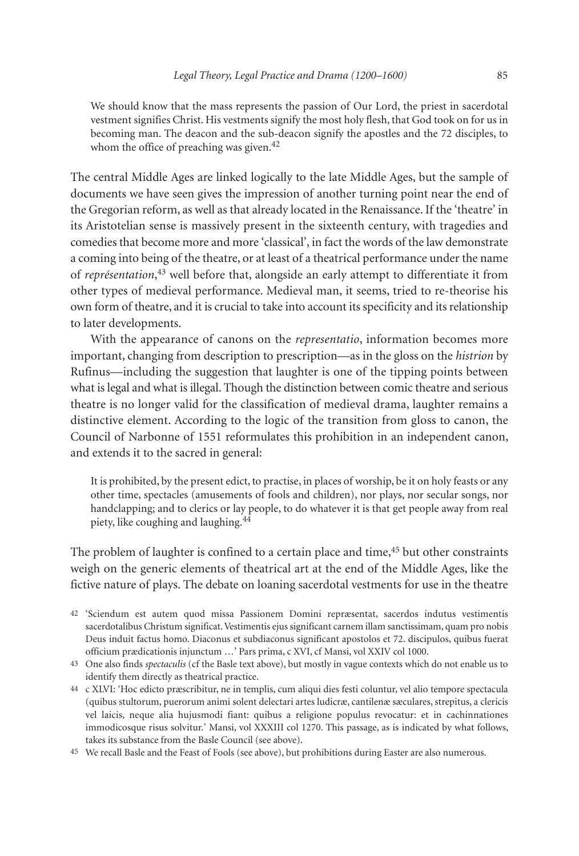We should know that the mass represents the passion of Our Lord, the priest in sacerdotal vestment signifies Christ. His vestments signify the most holy flesh, that God took on for us in becoming man. The deacon and the sub-deacon signify the apostles and the 72 disciples, to whom the office of preaching was given.<sup>42</sup>

The central Middle Ages are linked logically to the late Middle Ages, but the sample of documents we have seen gives the impression of another turning point near the end of the Gregorian reform, as well as that already located in the Renaissance. If the 'theatre' in its Aristotelian sense is massively present in the sixteenth century, with tragedies and comedies that become more and more 'classical', in fact the words of the law demonstrate a coming into being of the theatre, or at least of a theatrical performance under the name of *représentation*, <sup>43</sup> well before that, alongside an early attempt to differentiate it from other types of medieval performance. Medieval man, it seems, tried to re-theorise his own form of theatre, and it is crucial to take into account its specificity and its relationship to later developments.

With the appearance of canons on the *representatio*, information becomes more important, changing from description to prescription—as in the gloss on the *histrion* by Rufinus—including the suggestion that laughter is one of the tipping points between what is legal and what is illegal. Though the distinction between comic theatre and serious theatre is no longer valid for the classification of medieval drama, laughter remains a distinctive element. According to the logic of the transition from gloss to canon, the Council of Narbonne of 1551 reformulates this prohibition in an independent canon, and extends it to the sacred in general:

It is prohibited, by the present edict, to practise, in places of worship, be it on holy feasts or any other time, spectacles (amusements of fools and children), nor plays, nor secular songs, nor handclapping; and to clerics or lay people, to do whatever it is that get people away from real piety, like coughing and laughing.<sup>44</sup>

The problem of laughter is confined to a certain place and time,<sup>45</sup> but other constraints weigh on the generic elements of theatrical art at the end of the Middle Ages, like the fictive nature of plays. The debate on loaning sacerdotal vestments for use in the theatre

- 42 'Sciendum est autem quod missa Passionem Domini repræsentat, sacerdos indutus vestimentis sacerdotalibus Christum significat. Vestimentis ejus significant carnem illam sanctissimam, quam pro nobis Deus induit factus homo. Diaconus et subdiaconus significant apostolos et 72. discipulos, quibus fuerat officium prædicationis injunctum …' Pars prima, c XVI, cf Mansi, vol XXIV col 1000.
- 43 One also finds *spectaculis* (cf the Basle text above), but mostly in vague contexts which do not enable us to identify them directly as theatrical practice.
- 44 c XLVI: 'Hoc edicto præscribitur, ne in templis, cum aliqui dies festi coluntur, vel alio tempore spectacula (quibus stultorum, puerorum animi solent delectari artes ludicræ, cantilenæ sæculares, strepitus, a clericis vel laicis, neque alia hujusmodi fiant: quibus a religione populus revocatur: et in cachinnationes immodicosque risus solvitur.' Mansi, vol XXXIII col 1270. This passage, as is indicated by what follows, takes its substance from the Basle Council (see above).
- 45 We recall Basle and the Feast of Fools (see above), but prohibitions during Easter are also numerous.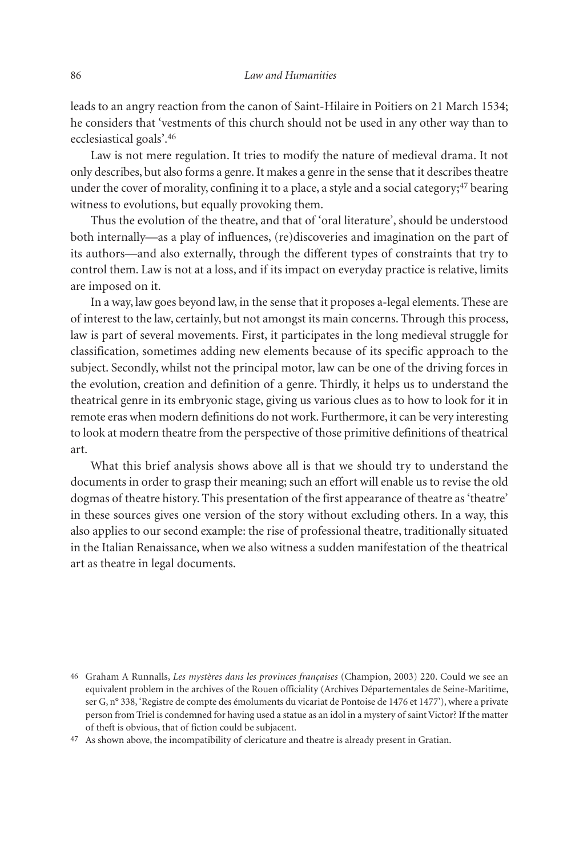leads to an angry reaction from the canon of Saint-Hilaire in Poitiers on 21 March 1534; he considers that 'vestments of this church should not be used in any other way than to ecclesiastical goals'.46

Law is not mere regulation. It tries to modify the nature of medieval drama. It not only describes, but also forms a genre. It makes a genre in the sense that it describes theatre under the cover of morality, confining it to a place, a style and a social category;<sup>47</sup> bearing witness to evolutions, but equally provoking them.

Thus the evolution of the theatre, and that of 'oral literature', should be understood both internally—as a play of influences, (re)discoveries and imagination on the part of its authors—and also externally, through the different types of constraints that try to control them. Law is not at a loss, and if its impact on everyday practice is relative, limits are imposed on it.

In a way, law goes beyond law, in the sense that it proposes a-legal elements. These are of interest to the law, certainly, but not amongst its main concerns. Through this process, law is part of several movements. First, it participates in the long medieval struggle for classification, sometimes adding new elements because of its specific approach to the subject. Secondly, whilst not the principal motor, law can be one of the driving forces in the evolution, creation and definition of a genre. Thirdly, it helps us to understand the theatrical genre in its embryonic stage, giving us various clues as to how to look for it in remote eras when modern definitions do not work. Furthermore, it can be very interesting to look at modern theatre from the perspective of those primitive definitions of theatrical art.

What this brief analysis shows above all is that we should try to understand the documents in order to grasp their meaning; such an effort will enable us to revise the old dogmas of theatre history. This presentation of the first appearance of theatre as 'theatre' in these sources gives one version of the story without excluding others. In a way, this also applies to our second example: the rise of professional theatre, traditionally situated in the Italian Renaissance, when we also witness a sudden manifestation of the theatrical art as theatre in legal documents.

<sup>46</sup> Graham A Runnalls, *Les mystères dans les provinces françaises* (Champion, 2003) 220. Could we see an equivalent problem in the archives of the Rouen officiality (Archives Départementales de Seine-Maritime, ser G, n° 338, 'Registre de compte des émoluments du vicariat de Pontoise de 1476 et 1477'), where a private person from Triel is condemned for having used a statue as an idol in a mystery of saint Victor? If the matter of theft is obvious, that of fiction could be subjacent.

<sup>47</sup> As shown above, the incompatibility of clericature and theatre is already present in Gratian.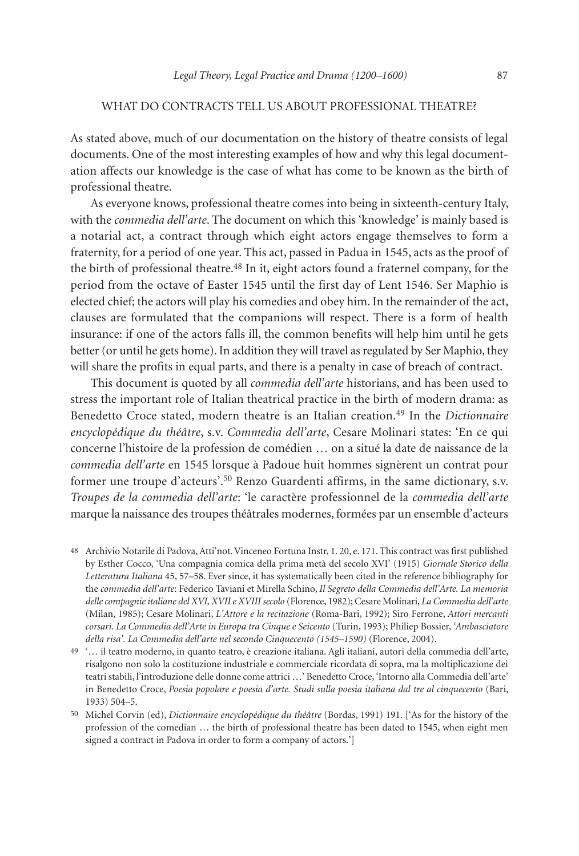#### WHAT DO CONTRACTS TELL US ABOUT PROFESSIONAL THEATRE?

As stated above, much of our documentation on the history of theatre consists of legal documents. One of the most interesting examples of how and why this legal documentation affects our knowledge is the case of what has come to be known as the birth of professional theatre.

As everyone knows, professional theatre comes into being in sixteenth-century Italy, with the *commedia dell'arte*. The document on which this 'knowledge' is mainly based is a notarial act, a contract through which eight actors engage themselves to form a fraternity, for a period of one year. This act, passed in Padua in 1545, acts as the proof of the birth of professional theatre.48 In it, eight actors found a fraternel company, for the period from the octave of Easter 1545 until the first day of Lent 1546. Ser Maphio is elected chief; the actors will play his comedies and obey him. In the remainder of the act, clauses are formulated that the companions will respect. There is a form of health insurance: if one of the actors falls ill, the common benefits will help him until he gets better (or until he gets home). In addition they will travel as regulated by Ser Maphio, they will share the profits in equal parts, and there is a penalty in case of breach of contract.

This document is quoted by all *commedia dell'arte* historians, and has been used to stress the important role of Italian theatrical practice in the birth of modern drama: as Benedetto Croce stated, modern theatre is an Italian creation.49 In the *Dictionnaire encyclopédique du théâtre*, s.v. *Commedia dell'arte*, Cesare Molinari states: 'En ce qui concerne l'histoire de la profession de comédien … on a situé la date de naissance de la *commedia dell'arte* en 1545 lorsque à Padoue huit hommes signèrent un contrat pour former une troupe d'acteurs'.50 Renzo Guardenti affirms, in the same dictionary, s.v. *Troupes de la commedia dell'arte*: 'le caractère professionnel de la *commedia dell'arte* marque la naissance des troupes théâtrales modernes, formées par un ensemble d'acteurs

- 48 Archivio Notarile di Padova, Atti'not. Vinceneo Fortuna Instr, 1. 20, e. 171. This contract was first published by Esther Cocco, 'Una compagnia comica della prima metà del secolo XVI' (1915) *Giornale Storico della Letteratura Italiana* 45, 57–58. Ever since, it has systematically been cited in the reference bibliography for the *commedia dell'arte*: Federico Taviani et Mirella Schino, *Il Segreto della Commedia dell'Arte. La memoria delle compagnie italiane del XVI, XVII e XVIII secolo* (Florence, 1982); Cesare Molinari, *La Commedia dell'arte* (Milan, 1985); Cesare Molinari, *L'Attore e la recitazione* (Roma-Bari, 1992); Siro Ferrone, *Attori mercanti corsari. La Commedia dell'Arte in Europa tra Cinque e Seicento* (Turin, 1993); Philiep Bossier, *'Ambasciatore della risa'. La Commedia dell'arte nel secondo Cinquecento (1545–1590)* (Florence, 2004).
- 49 '… il teatro moderno, in quanto teatro, è creazione italiana. Agli italiani, autori della commedia dell'arte, risalgono non solo la costituzione industriale e commerciale ricordata di sopra, ma la moltiplicazione dei teatri stabili, l'introduzione delle donne come attrici …' Benedetto Croce, 'Intorno alla Commedia dell'arte' in Benedetto Croce, *Poesia popolare e poesia d'arte. Studi sulla poesia italiana dal tre al cinquecento* (Bari, 1933) 504–5.
- 50 Michel Corvin (ed), *Dictionnaire encyclopédique du théâtre* (Bordas, 1991) 191. ['As for the history of the profession of the comedian … the birth of professional theatre has been dated to 1545, when eight men signed a contract in Padova in order to form a company of actors.']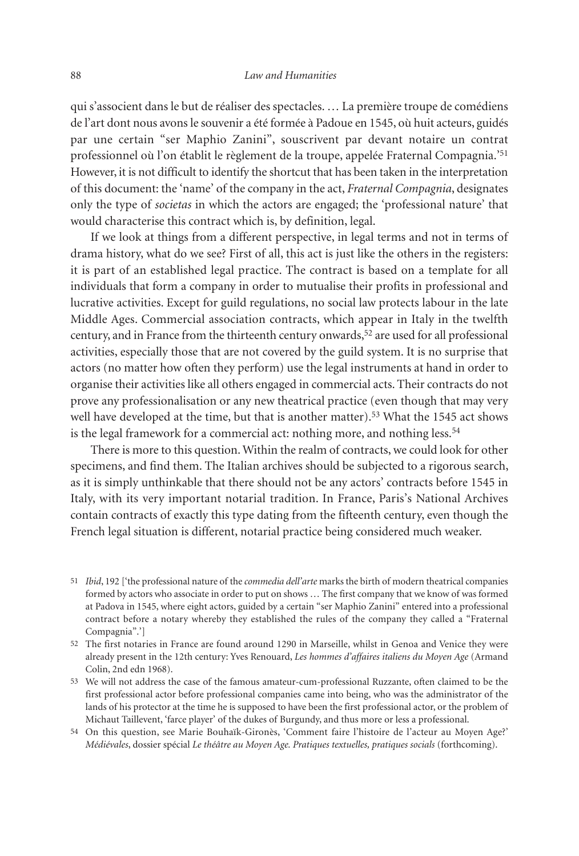qui s'associent dans le but de réaliser des spectacles. … La première troupe de comédiens de l'art dont nous avons le souvenir a été formée à Padoue en 1545, où huit acteurs, guidés par une certain "ser Maphio Zanini", souscrivent par devant notaire un contrat professionnel où l'on établit le règlement de la troupe, appelée Fraternal Compagnia.'51 However, it is not difficult to identify the shortcut that has been taken in the interpretation of this document: the 'name' of the company in the act, *Fraternal Compagnia*, designates only the type of *societas* in which the actors are engaged; the 'professional nature' that would characterise this contract which is, by definition, legal.

If we look at things from a different perspective, in legal terms and not in terms of drama history, what do we see? First of all, this act is just like the others in the registers: it is part of an established legal practice. The contract is based on a template for all individuals that form a company in order to mutualise their profits in professional and lucrative activities. Except for guild regulations, no social law protects labour in the late Middle Ages. Commercial association contracts, which appear in Italy in the twelfth century, and in France from the thirteenth century onwards,<sup>52</sup> are used for all professional activities, especially those that are not covered by the guild system. It is no surprise that actors (no matter how often they perform) use the legal instruments at hand in order to organise their activities like all others engaged in commercial acts. Their contracts do not prove any professionalisation or any new theatrical practice (even though that may very well have developed at the time, but that is another matter).<sup>53</sup> What the 1545 act shows is the legal framework for a commercial act: nothing more, and nothing less.<sup>54</sup>

There is more to this question. Within the realm of contracts, we could look for other specimens, and find them. The Italian archives should be subjected to a rigorous search, as it is simply unthinkable that there should not be any actors' contracts before 1545 in Italy, with its very important notarial tradition. In France, Paris's National Archives contain contracts of exactly this type dating from the fifteenth century, even though the French legal situation is different, notarial practice being considered much weaker.

- 51 *Ibid*, 192 ['the professional nature of the *commedia dell'arte* marks the birth of modern theatrical companies formed by actors who associate in order to put on shows … The first company that we know of was formed at Padova in 1545, where eight actors, guided by a certain "ser Maphio Zanini" entered into a professional contract before a notary whereby they established the rules of the company they called a "Fraternal Compagnia".']
- 52 The first notaries in France are found around 1290 in Marseille, whilst in Genoa and Venice they were already present in the 12th century: Yves Renouard, *Les hommes d'affaires italiens du Moyen Age* (Armand Colin, 2nd edn 1968).
- 53 We will not address the case of the famous amateur-cum-professional Ruzzante, often claimed to be the first professional actor before professional companies came into being, who was the administrator of the lands of his protector at the time he is supposed to have been the first professional actor, or the problem of Michaut Taillevent, 'farce player' of the dukes of Burgundy, and thus more or less a professional.
- 54 On this question, see Marie Bouhaïk-Gironès, 'Comment faire l'histoire de l'acteur au Moyen Age?' *Médiévales*, dossier spécial *Le théâtre au Moyen Age. Pratiques textuelles, pratiques socials* (forthcoming).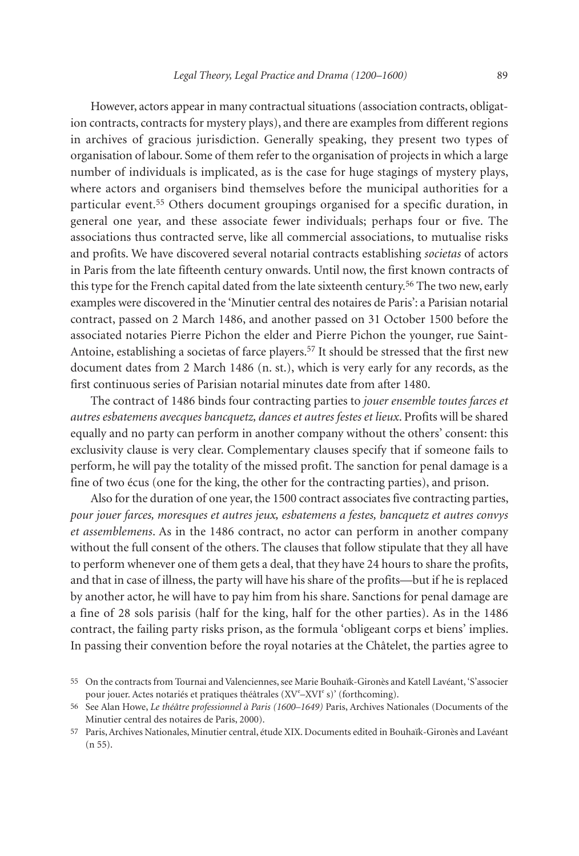However, actors appear in many contractual situations (association contracts, obligation contracts, contracts for mystery plays), and there are examples from different regions in archives of gracious jurisdiction. Generally speaking, they present two types of organisation of labour. Some of them refer to the organisation of projects in which a large number of individuals is implicated, as is the case for huge stagings of mystery plays, where actors and organisers bind themselves before the municipal authorities for a particular event.55 Others document groupings organised for a specific duration, in general one year, and these associate fewer individuals; perhaps four or five. The associations thus contracted serve, like all commercial associations, to mutualise risks and profits. We have discovered several notarial contracts establishing *societas* of actors in Paris from the late fifteenth century onwards. Until now, the first known contracts of this type for the French capital dated from the late sixteenth century.<sup>56</sup> The two new, early examples were discovered in the 'Minutier central des notaires de Paris': a Parisian notarial contract, passed on 2 March 1486, and another passed on 31 October 1500 before the associated notaries Pierre Pichon the elder and Pierre Pichon the younger, rue Saint-Antoine, establishing a societas of farce players.57 It should be stressed that the first new document dates from 2 March 1486 (n. st.), which is very early for any records, as the first continuous series of Parisian notarial minutes date from after 1480.

The contract of 1486 binds four contracting parties to *jouer ensemble toutes farces et autres esbatemens avecques bancquetz, dances et autres festes et lieux*. Profits will be shared equally and no party can perform in another company without the others' consent: this exclusivity clause is very clear. Complementary clauses specify that if someone fails to perform, he will pay the totality of the missed profit. The sanction for penal damage is a fine of two écus (one for the king, the other for the contracting parties), and prison.

Also for the duration of one year, the 1500 contract associates five contracting parties, *pour jouer farces, moresques et autres jeux, esbatemens a festes, bancquetz et autres convys et assemblemens*. As in the 1486 contract, no actor can perform in another company without the full consent of the others. The clauses that follow stipulate that they all have to perform whenever one of them gets a deal, that they have 24 hours to share the profits, and that in case of illness, the party will have his share of the profits—but if he is replaced by another actor, he will have to pay him from his share. Sanctions for penal damage are a fine of 28 sols parisis (half for the king, half for the other parties). As in the 1486 contract, the failing party risks prison, as the formula 'obligeant corps et biens' implies. In passing their convention before the royal notaries at the Châtelet, the parties agree to

<sup>55</sup> On the contracts from Tournai and Valenciennes, see Marie Bouhaïk-Gironès and Katell Lavéant, 'S'associer pour jouer. Actes notariés et pratiques théâtrales (XVe-XVIe s)' (forthcoming).

<sup>56</sup> See Alan Howe, *Le théâtre professionnel à Paris (1600–1649)* Paris, Archives Nationales (Documents of the Minutier central des notaires de Paris, 2000).

<sup>57</sup> Paris, Archives Nationales, Minutier central, étude XIX. Documents edited in Bouhaïk-Gironès and Lavéant (n 55).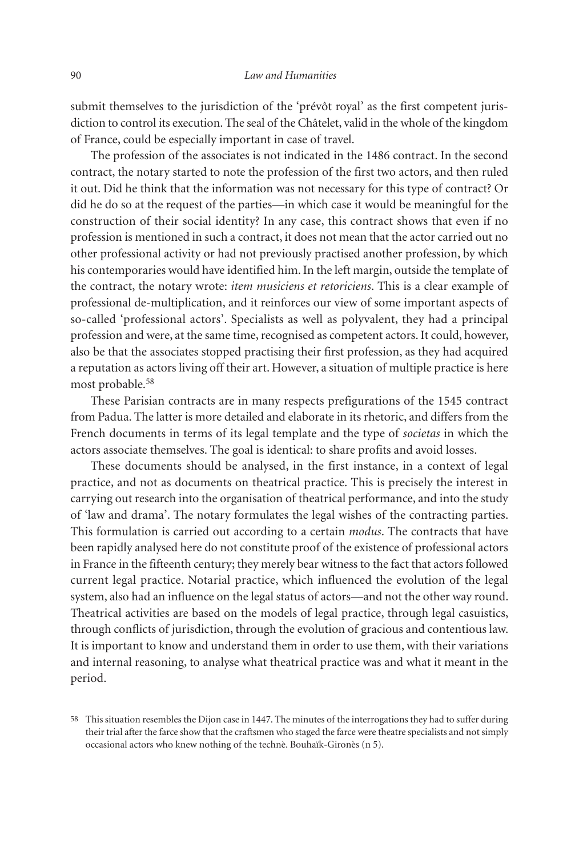submit themselves to the jurisdiction of the 'prévôt royal' as the first competent jurisdiction to control its execution. The seal of the Châtelet, valid in the whole of the kingdom of France, could be especially important in case of travel.

The profession of the associates is not indicated in the 1486 contract. In the second contract, the notary started to note the profession of the first two actors, and then ruled it out. Did he think that the information was not necessary for this type of contract? Or did he do so at the request of the parties—in which case it would be meaningful for the construction of their social identity? In any case, this contract shows that even if no profession is mentioned in such a contract, it does not mean that the actor carried out no other professional activity or had not previously practised another profession, by which his contemporaries would have identified him. In the left margin, outside the template of the contract, the notary wrote: *item musiciens et retoriciens*. This is a clear example of professional de-multiplication, and it reinforces our view of some important aspects of so-called 'professional actors'. Specialists as well as polyvalent, they had a principal profession and were, at the same time, recognised as competent actors. It could, however, also be that the associates stopped practising their first profession, as they had acquired a reputation as actors living off their art. However, a situation of multiple practice is here most probable.58

These Parisian contracts are in many respects prefigurations of the 1545 contract from Padua. The latter is more detailed and elaborate in its rhetoric, and differs from the French documents in terms of its legal template and the type of *societas* in which the actors associate themselves. The goal is identical: to share profits and avoid losses.

These documents should be analysed, in the first instance, in a context of legal practice, and not as documents on theatrical practice. This is precisely the interest in carrying out research into the organisation of theatrical performance, and into the study of 'law and drama'. The notary formulates the legal wishes of the contracting parties. This formulation is carried out according to a certain *modus*. The contracts that have been rapidly analysed here do not constitute proof of the existence of professional actors in France in the fifteenth century; they merely bear witness to the fact that actors followed current legal practice. Notarial practice, which influenced the evolution of the legal system, also had an influence on the legal status of actors—and not the other way round. Theatrical activities are based on the models of legal practice, through legal casuistics, through conflicts of jurisdiction, through the evolution of gracious and contentious law. It is important to know and understand them in order to use them, with their variations and internal reasoning, to analyse what theatrical practice was and what it meant in the period.

<sup>58</sup> This situation resembles the Dijon case in 1447. The minutes of the interrogations they had to suffer during their trial after the farce show that the craftsmen who staged the farce were theatre specialists and not simply occasional actors who knew nothing of the technè. Bouhaïk-Gironès (n 5).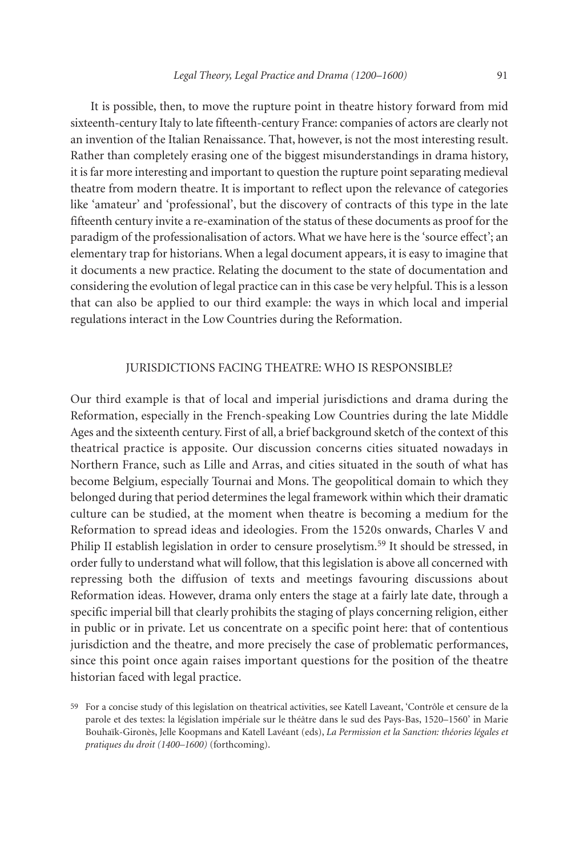It is possible, then, to move the rupture point in theatre history forward from mid sixteenth-century Italy to late fifteenth-century France: companies of actors are clearly not an invention of the Italian Renaissance. That, however, is not the most interesting result. Rather than completely erasing one of the biggest misunderstandings in drama history, it is far more interesting and important to question the rupture point separating medieval theatre from modern theatre. It is important to reflect upon the relevance of categories like 'amateur' and 'professional', but the discovery of contracts of this type in the late fifteenth century invite a re-examination of the status of these documents as proof for the paradigm of the professionalisation of actors. What we have here is the 'source effect'; an elementary trap for historians. When a legal document appears, it is easy to imagine that it documents a new practice. Relating the document to the state of documentation and considering the evolution of legal practice can in this case be very helpful. This is a lesson that can also be applied to our third example: the ways in which local and imperial regulations interact in the Low Countries during the Reformation.

#### JURISDICTIONS FACING THEATRE: WHO IS RESPONSIBLE?

Our third example is that of local and imperial jurisdictions and drama during the Reformation, especially in the French-speaking Low Countries during the late Middle Ages and the sixteenth century. First of all, a brief background sketch of the context of this theatrical practice is apposite. Our discussion concerns cities situated nowadays in Northern France, such as Lille and Arras, and cities situated in the south of what has become Belgium, especially Tournai and Mons. The geopolitical domain to which they belonged during that period determines the legal framework within which their dramatic culture can be studied, at the moment when theatre is becoming a medium for the Reformation to spread ideas and ideologies. From the 1520s onwards, Charles V and Philip II establish legislation in order to censure proselytism.59 It should be stressed, in order fully to understand what will follow, that this legislation is above all concerned with repressing both the diffusion of texts and meetings favouring discussions about Reformation ideas. However, drama only enters the stage at a fairly late date, through a specific imperial bill that clearly prohibits the staging of plays concerning religion, either in public or in private. Let us concentrate on a specific point here: that of contentious jurisdiction and the theatre, and more precisely the case of problematic performances, since this point once again raises important questions for the position of the theatre historian faced with legal practice.

<sup>59</sup> For a concise study of this legislation on theatrical activities, see Katell Laveant, 'Contrôle et censure de la parole et des textes: la législation impériale sur le théâtre dans le sud des Pays-Bas, 1520–1560' in Marie Bouhaïk-Gironès, Jelle Koopmans and Katell Lavéant (eds), *La Permission et la Sanction: théories légales et pratiques du droit (1400–1600)* (forthcoming).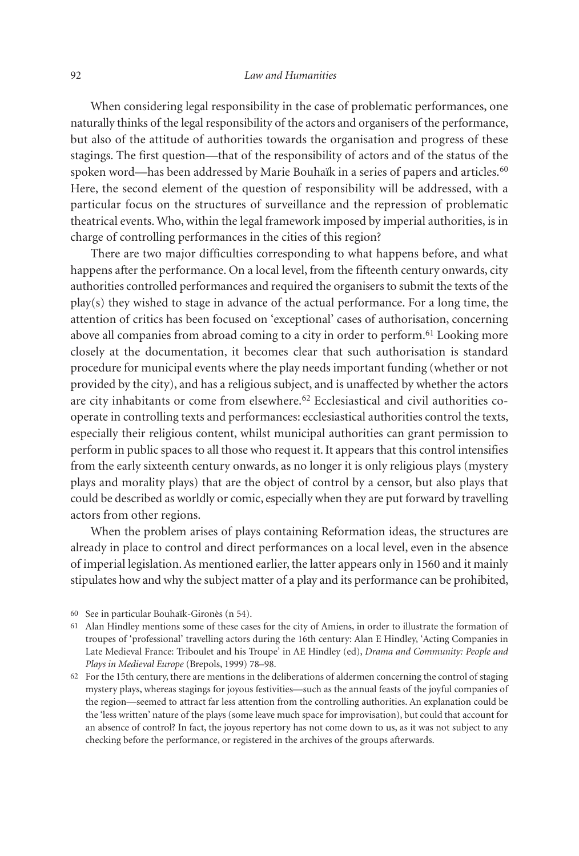#### 92 *Law and Humanities*

When considering legal responsibility in the case of problematic performances, one naturally thinks of the legal responsibility of the actors and organisers of the performance, but also of the attitude of authorities towards the organisation and progress of these stagings. The first question—that of the responsibility of actors and of the status of the spoken word—has been addressed by Marie Bouhaïk in a series of papers and articles.<sup>60</sup> Here, the second element of the question of responsibility will be addressed, with a particular focus on the structures of surveillance and the repression of problematic theatrical events. Who, within the legal framework imposed by imperial authorities, is in charge of controlling performances in the cities of this region?

There are two major difficulties corresponding to what happens before, and what happens after the performance. On a local level, from the fifteenth century onwards, city authorities controlled performances and required the organisers to submit the texts of the play(s) they wished to stage in advance of the actual performance. For a long time, the attention of critics has been focused on 'exceptional' cases of authorisation, concerning above all companies from abroad coming to a city in order to perform.<sup>61</sup> Looking more closely at the documentation, it becomes clear that such authorisation is standard procedure for municipal events where the play needs important funding (whether or not provided by the city), and has a religious subject, and is unaffected by whether the actors are city inhabitants or come from elsewhere.62 Ecclesiastical and civil authorities cooperate in controlling texts and performances: ecclesiastical authorities control the texts, especially their religious content, whilst municipal authorities can grant permission to perform in public spaces to all those who request it. It appears that this control intensifies from the early sixteenth century onwards, as no longer it is only religious plays (mystery plays and morality plays) that are the object of control by a censor, but also plays that could be described as worldly or comic, especially when they are put forward by travelling actors from other regions.

When the problem arises of plays containing Reformation ideas, the structures are already in place to control and direct performances on a local level, even in the absence of imperial legislation. As mentioned earlier, the latter appears only in 1560 and it mainly stipulates how and why the subject matter of a play and its performance can be prohibited,

<sup>60</sup> See in particular Bouhaïk-Gironès (n 54).

<sup>61</sup> Alan Hindley mentions some of these cases for the city of Amiens, in order to illustrate the formation of troupes of 'professional' travelling actors during the 16th century: Alan E Hindley, 'Acting Companies in Late Medieval France: Triboulet and his Troupe' in AE Hindley (ed), *Drama and Community: People and Plays in Medieval Europe* (Brepols, 1999) 78–98.

<sup>62</sup> For the 15th century, there are mentions in the deliberations of aldermen concerning the control of staging mystery plays, whereas stagings for joyous festivities—such as the annual feasts of the joyful companies of the region—seemed to attract far less attention from the controlling authorities. An explanation could be the 'less written' nature of the plays (some leave much space for improvisation), but could that account for an absence of control? In fact, the joyous repertory has not come down to us, as it was not subject to any checking before the performance, or registered in the archives of the groups afterwards.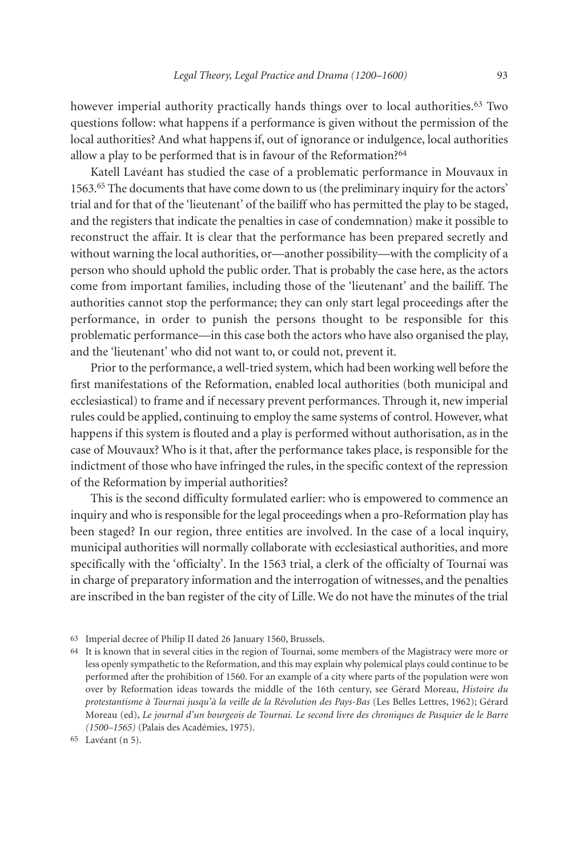however imperial authority practically hands things over to local authorities.<sup>63</sup> Two questions follow: what happens if a performance is given without the permission of the local authorities? And what happens if, out of ignorance or indulgence, local authorities allow a play to be performed that is in favour of the Reformation?<sup>64</sup>

Katell Lavéant has studied the case of a problematic performance in Mouvaux in 1563.65 The documents that have come down to us (the preliminary inquiry for the actors' trial and for that of the 'lieutenant' of the bailiff who has permitted the play to be staged, and the registers that indicate the penalties in case of condemnation) make it possible to reconstruct the affair. It is clear that the performance has been prepared secretly and without warning the local authorities, or—another possibility—with the complicity of a person who should uphold the public order. That is probably the case here, as the actors come from important families, including those of the 'lieutenant' and the bailiff. The authorities cannot stop the performance; they can only start legal proceedings after the performance, in order to punish the persons thought to be responsible for this problematic performance—in this case both the actors who have also organised the play, and the 'lieutenant' who did not want to, or could not, prevent it.

Prior to the performance, a well-tried system, which had been working well before the first manifestations of the Reformation, enabled local authorities (both municipal and ecclesiastical) to frame and if necessary prevent performances. Through it, new imperial rules could be applied, continuing to employ the same systems of control. However, what happens if this system is flouted and a play is performed without authorisation, as in the case of Mouvaux? Who is it that, after the performance takes place, is responsible for the indictment of those who have infringed the rules, in the specific context of the repression of the Reformation by imperial authorities?

This is the second difficulty formulated earlier: who is empowered to commence an inquiry and who is responsible for the legal proceedings when a pro-Reformation play has been staged? In our region, three entities are involved. In the case of a local inquiry, municipal authorities will normally collaborate with ecclesiastical authorities, and more specifically with the 'officialty'. In the 1563 trial, a clerk of the officialty of Tournai was in charge of preparatory information and the interrogation of witnesses, and the penalties are inscribed in the ban register of the city of Lille. We do not have the minutes of the trial

<sup>63</sup> Imperial decree of Philip II dated 26 January 1560, Brussels.

<sup>64</sup> It is known that in several cities in the region of Tournai, some members of the Magistracy were more or less openly sympathetic to the Reformation, and this may explain why polemical plays could continue to be performed after the prohibition of 1560. For an example of a city where parts of the population were won over by Reformation ideas towards the middle of the 16th century, see Gérard Moreau, *Histoire du protestantisme à Tournai jusqu'à la veille de la Révolution des Pays-Bas* (Les Belles Lettres, 1962); Gérard Moreau (ed), *Le journal d'un bourgeois de Tournai. Le second livre des chroniques de Pasquier de le Barre (1500–1565)* (Palais des Académies, 1975).

<sup>65</sup> Lavéant (n 5).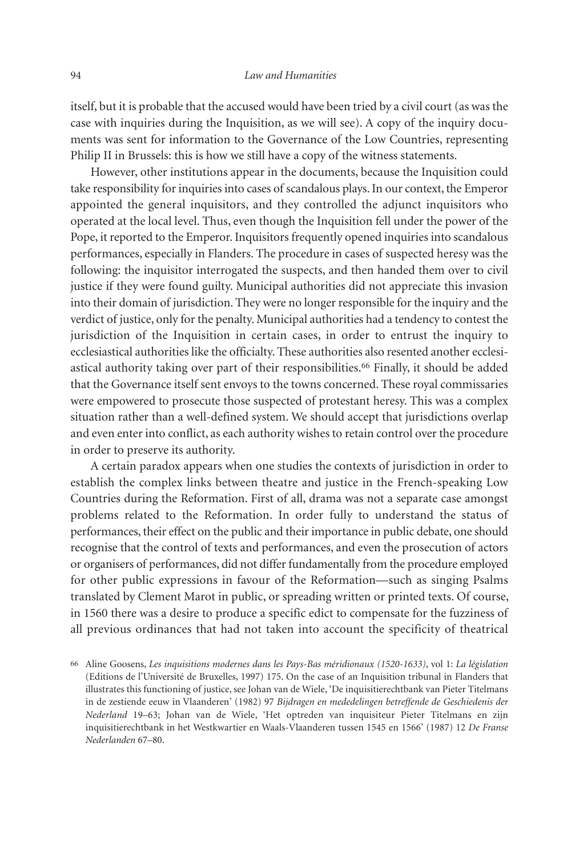itself, but it is probable that the accused would have been tried by a civil court (as was the case with inquiries during the Inquisition, as we will see). A copy of the inquiry documents was sent for information to the Governance of the Low Countries, representing Philip II in Brussels: this is how we still have a copy of the witness statements.

However, other institutions appear in the documents, because the Inquisition could take responsibility for inquiries into cases of scandalous plays. In our context, the Emperor appointed the general inquisitors, and they controlled the adjunct inquisitors who operated at the local level. Thus, even though the Inquisition fell under the power of the Pope, it reported to the Emperor. Inquisitors frequently opened inquiries into scandalous performances, especially in Flanders. The procedure in cases of suspected heresy was the following: the inquisitor interrogated the suspects, and then handed them over to civil justice if they were found guilty. Municipal authorities did not appreciate this invasion into their domain of jurisdiction. They were no longer responsible for the inquiry and the verdict of justice, only for the penalty. Municipal authorities had a tendency to contest the jurisdiction of the Inquisition in certain cases, in order to entrust the inquiry to ecclesiastical authorities like the officialty. These authorities also resented another ecclesiastical authority taking over part of their responsibilities.66 Finally, it should be added that the Governance itself sent envoys to the towns concerned. These royal commissaries were empowered to prosecute those suspected of protestant heresy. This was a complex situation rather than a well-defined system. We should accept that jurisdictions overlap and even enter into conflict, as each authority wishes to retain control over the procedure in order to preserve its authority.

A certain paradox appears when one studies the contexts of jurisdiction in order to establish the complex links between theatre and justice in the French-speaking Low Countries during the Reformation. First of all, drama was not a separate case amongst problems related to the Reformation. In order fully to understand the status of performances, their effect on the public and their importance in public debate, one should recognise that the control of texts and performances, and even the prosecution of actors or organisers of performances, did not differ fundamentally from the procedure employed for other public expressions in favour of the Reformation—such as singing Psalms translated by Clement Marot in public, or spreading written or printed texts. Of course, in 1560 there was a desire to produce a specific edict to compensate for the fuzziness of all previous ordinances that had not taken into account the specificity of theatrical

<sup>66</sup> Aline Goosens, *Les inquisitions modernes dans les Pays-Bas méridionaux (1520-1633)*, vol 1: *La législation* (Editions de l'Université de Bruxelles, 1997) 175. On the case of an Inquisition tribunal in Flanders that illustrates this functioning of justice, see Johan van de Wiele, 'De inquisitierechtbank van Pieter Titelmans in de zestiende eeuw in Vlaanderen' (1982) 97 *Bijdragen en mededelingen betreffende de Geschiedenis der Nederland* 19–63; Johan van de Wiele, 'Het optreden van inquisiteur Pieter Titelmans en zijn inquisitierechtbank in het Westkwartier en Waals-Vlaanderen tussen 1545 en 1566' (1987) 12 *De Franse Nederlanden* 67–80.